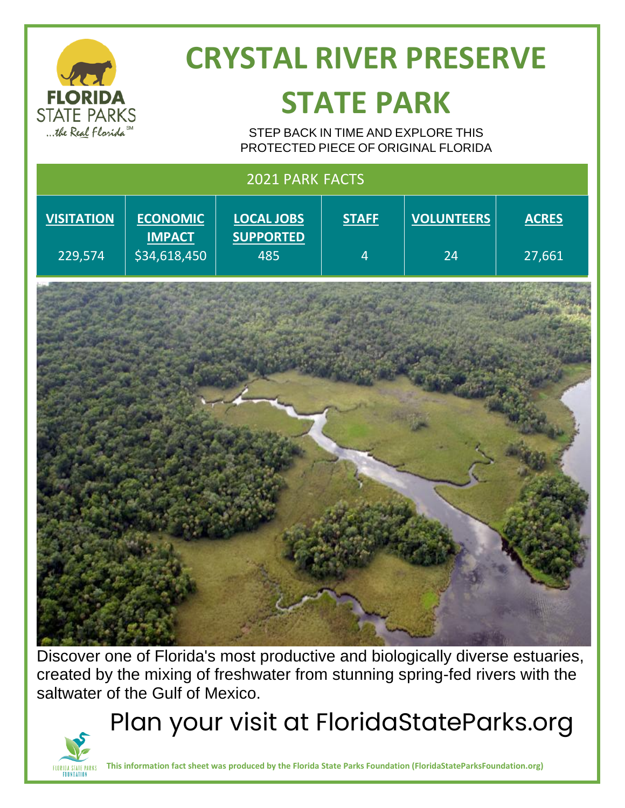| <b>FLORIDA</b><br><b>STATE PARKS</b><br>the Real Florida SM | <b>CRYSTAL RIVER PRESERVE</b><br><b>STATE PARK</b><br>STEP BACK IN TIME AND EXPLORE THIS<br>PROTECTED PIECE OF ORIGINAL FLORIDA |                                              |                                |                         |                        |
|-------------------------------------------------------------|---------------------------------------------------------------------------------------------------------------------------------|----------------------------------------------|--------------------------------|-------------------------|------------------------|
| 2021 PARK FACTS                                             |                                                                                                                                 |                                              |                                |                         |                        |
| <b>VISITATION</b><br>229,574                                | <b>ECONOMIC</b><br><b>IMPACT</b><br>\$34,618,450                                                                                | <b>LOCAL JOBS</b><br><b>SUPPORTED</b><br>485 | <b>STAFF</b><br>$\overline{4}$ | <b>VOLUNTEERS</b><br>24 | <b>ACRES</b><br>27,661 |
|                                                             |                                                                                                                                 |                                              |                                |                         |                        |

Discover one of Florida's most productive and biologically diverse estuaries, created by the mixing of freshwater from stunning spring-fed rivers with the saltwater of the Gulf of Mexico.

Plan your visit at FloridaStateParks.org



**This information fact sheet was produced by the Florida State Parks Foundation (FloridaStateParksFoundation.org)**